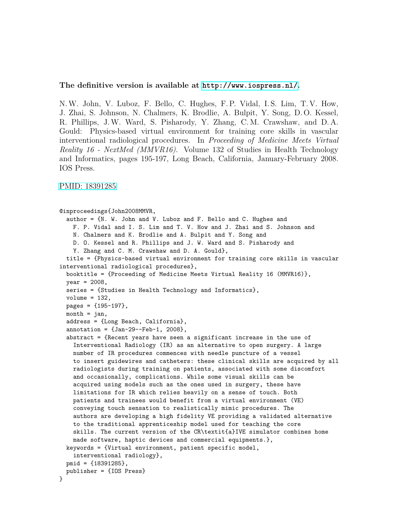#### **The definitive version is available at <http://www.iospress.nl/>.**

N.W. John, V. Luboz, F. Bello, C. Hughes, F. P. Vidal, I. S. Lim, T. V. How, J. Zhai, S. Johnson, N. Chalmers, K. Brodlie, A. Bulpit, Y. Song, D. O. Kessel, R. Phillips, J.W. Ward, S. Pisharody, Y. Zhang, C. M. Crawshaw, and D. A. Gould: Physics-based virtual environment for training core skills in vascular interventional radiological procedures. In *Proceeding of Medicine Meets Virtual Reality 16 - NextMed (MMVR16)*. Volume 132 of Studies in Health Technology and Informatics, pages 195-197, Long Beach, California, January-February 2008. IOS Press.

[PMID: 18391285](http://www.ncbi.nlm.nih.gov/pubmed/18391285)

```
@inproceedings{John2008MMVR,
 author = \{N. W. John and V. Luboz and F. Bello and C. Hughes and
   F. P. Vidal and I. S. Lim and T. V. How and J. Zhai and S. Johnson and
   N. Chalmers and K. Brodlie and A. Bulpit and Y. Song and
   D. O. Kessel and R. Phillips and J. W. Ward and S. Pisharody and
   Y. Zhang and C. M. Crawshaw and D. A. Gould},
 title = {Physics-based virtual environment for training core skills in vascular
interventional radiological procedures},
 booktitle = {Proceeding of Medicine Meets Virtual Reality 16 (MMVR16)},
 year = 2008,
 series = {Studies in Health Technology and Informatics},
 volume = 132,pages = {195-197},
 month = jan,address = {Long Beach, California},
 annotation = \{Jan~29--Feb~1, 2008\},abstract = {Recent years have seen a significant increase in the use of
   Interventional Radiology (IR) as an alternative to open surgery. A large
   number of IR procedures commences with needle puncture of a vessel
   to insert guidewires and catheters: these clinical skills are acquired by all
   radiologists during training on patients, associated with some discomfort
   and occasionally, complications. While some visual skills can be
   acquired using models such as the ones used in surgery, these have
   limitations for IR which relies heavily on a sense of touch. Both
   patients and trainees would benefit from a virtual environment (VE)
   conveying touch sensation to realistically mimic procedures. The
   authors are developing a high fidelity VE providing a validated alternative
   to the traditional apprenticeship model used for teaching the core
   skills. The current version of the CR\textit{a}IVE simulator combines home
   made software, haptic devices and commercial equipments.},
 keywords = {Virtual environment, patient specific model,
   interventional radiology},
 pmid = {18391285},
 publisher = {IOS Press}
}
```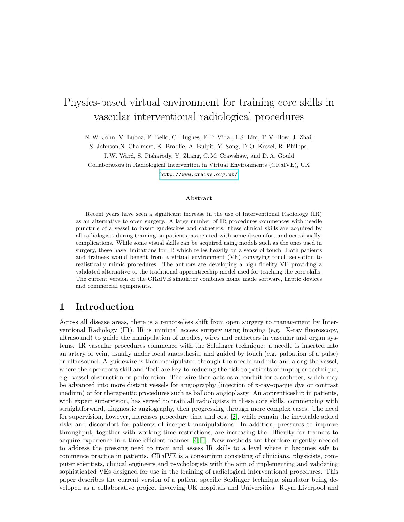# Physics-based virtual environment for training core skills in vascular interventional radiological procedures

N.W. John, V. Luboz, F. Bello, C. Hughes, F. P. Vidal, I. S. Lim, T. V. How, J. Zhai,

S. Johnson,N. Chalmers, K. Brodlie, A. Bulpit, Y. Song, D. O. Kessel, R. Phillips,

J.W. Ward, S. Pisharody, Y. Zhang, C. M. Crawshaw, and D. A. Gould

Collaborators in Radiological Intervention in Virtual Environments (CR*a*IVE), UK

<http://www.craive.org.uk/>

#### **Abstract**

Recent years have seen a significant increase in the use of Interventional Radiology (IR) as an alternative to open surgery. A large number of IR procedures commences with needle puncture of a vessel to insert guidewires and catheters: these clinical skills are acquired by all radiologists during training on patients, associated with some discomfort and occasionally, complications. While some visual skills can be acquired using models such as the ones used in surgery, these have limitations for IR which relies heavily on a sense of touch. Both patients and trainees would benefit from a virtual environment (VE) conveying touch sensation to realistically mimic procedures. The authors are developing a high fidelity VE providing a validated alternative to the traditional apprenticeship model used for teaching the core skills. The current version of the CR*a*IVE simulator combines home made software, haptic devices and commercial equipments.

#### **1 Introduction**

Across all disease areas, there is a remorseless shift from open surgery to management by Interventional Radiology (IR). IR is minimal access surgery using imaging (e.g. X-ray fluoroscopy, ultrasound) to guide the manipulation of needles, wires and catheters in vascular and organ systems. IR vascular procedures commence with the Seldinger technique: a needle is inserted into an artery or vein, usually under local anaesthesia, and guided by touch (e.g. palpation of a pulse) or ultrasound. A guidewire is then manipulated through the needle and into and along the vessel, where the operator's skill and 'feel' are key to reducing the risk to patients of improper technique, e.g. vessel obstruction or perforation. The wire then acts as a conduit for a catheter, which may be advanced into more distant vessels for angiography (injection of x-ray-opaque dye or contrast medium) or for therapeutic procedures such as balloon angioplasty. An apprenticeship in patients, with expert supervision, has served to train all radiologists in these core skills, commencing with straightforward, diagnostic angiography, then progressing through more complex cases. The need for supervision, however, increases procedure time and cost [\[2\]](#page-3-0), while remain the inevitable added risks and discomfort for patients of inexpert manipulations. In addition, pressures to improve throughput, together with working time restrictions, are increasing the difficulty for trainees to acquire experience in a time efficient manner [\[4,](#page-4-0) [1\]](#page-3-1). New methods are therefore urgently needed to address the pressing need to train and assess IR skills to a level where it becomes safe to commence practice in patients. CR*a*IVE is a consortium consisting of clinicians, physicists, computer scientists, clinical engineers and psychologists with the aim of implementing and validating sophisticated VEs designed for use in the training of radiological interventional procedures. This paper describes the current version of a patient specific Seldinger technique simulator being developed as a collaborative project involving UK hospitals and Universities: Royal Liverpool and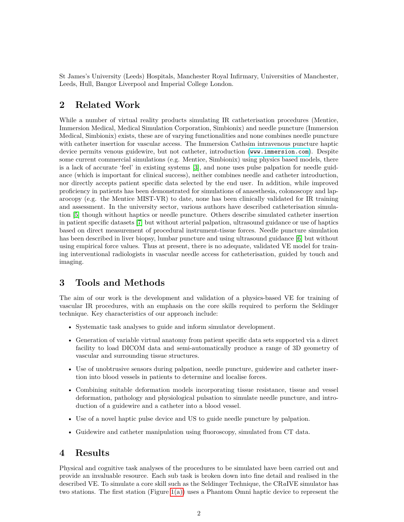St James's University (Leeds) Hospitals, Manchester Royal Infirmary, Universities of Manchester, Leeds, Hull, Bangor Liverpool and Imperial College London.

### **2 Related Work**

While a number of virtual reality products simulating IR catheterisation procedures (Mentice, Immersion Medical, Medical Simulation Corporation, Simbionix) and needle puncture (Immersion Medical, Simbionix) exists, these are of varying functionalities and none combines needle puncture with catheter insertion for vascular access. The Immersion Cathsim intravenous puncture haptic device permits venous guidewire, but not catheter, introduction (<www.immersion.com>). Despite some current commercial simulations (e.g. Mentice, Simbionix) using physics based models, there is a lack of accurate 'feel' in existing systems [\[3\]](#page-3-2), and none uses pulse palpation for needle guidance (which is important for clinical success), neither combines needle and catheter introduction, nor directly accepts patient specific data selected by the end user. In addition, while improved proficiency in patients has been demonstrated for simulations of anaesthesia, colonoscopy and laparocopy (e.g. the Mentice MIST-VR) to date, none has been clinically validated for IR training and assessment. In the university sector, various authors have described catheterisation simulation [\[5\]](#page-4-1) though without haptics or needle puncture. Others describe simulated catheter insertion in patient specific datasets [\[7\]](#page-4-2) but without arterial palpation, ultrasound guidance or use of haptics based on direct measurement of procedural instrument-tissue forces. Needle puncture simulation has been described in liver biopsy, lumbar puncture and using ultrasound guidance [\[6\]](#page-4-3) but without using empirical force values. Thus at present, there is no adequate, validated VE model for training interventional radiologists in vascular needle access for catheterisation, guided by touch and imaging.

# **3 Tools and Methods**

The aim of our work is the development and validation of a physics-based VE for training of vascular IR procedures, with an emphasis on the core skills required to perform the Seldinger technique. Key characteristics of our approach include:

- Systematic task analyses to guide and inform simulator development.
- Generation of variable virtual anatomy from patient specific data sets supported via a direct facility to load DICOM data and semi-automatically produce a range of 3D geometry of vascular and surrounding tissue structures.
- Use of unobtrusive sensors during palpation, needle puncture, guidewire and catheter insertion into blood vessels in patients to determine and localise forces.
- Combining suitable deformation models incorporating tissue resistance, tissue and vessel deformation, pathology and physiological pulsation to simulate needle puncture, and introduction of a guidewire and a catheter into a blood vessel.
- Use of a novel haptic pulse device and US to guide needle puncture by palpation.
- Guidewire and catheter manipulation using fluoroscopy, simulated from CT data.

#### **4 Results**

Physical and cognitive task analyses of the procedures to be simulated have been carried out and provide an invaluable resource. Each sub task is broken down into fine detail and realised in the described VE. To simulate a core skill such as the Seldinger Technique, the CR*a*IVE simulator has two stations. The first station (Figure [1\(a\)\)](#page-3-3) uses a Phantom Omni haptic device to represent the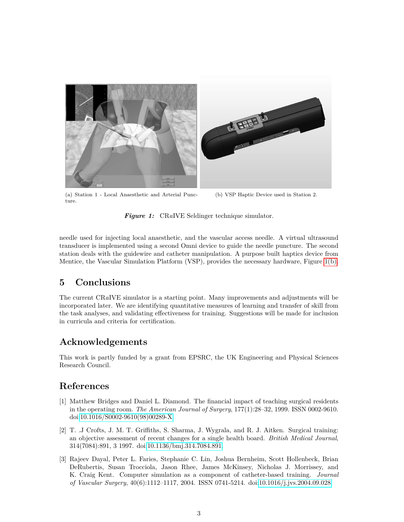<span id="page-3-3"></span>

(a) Station 1 - Local Anaesthetic and Arterial Puncture.

<span id="page-3-4"></span>(b) VSP Haptic Device used in Station 2.

*Figure 1:* CR*a*IVE Seldinger technique simulator.

needle used for injecting local anaesthetic, and the vascular access needle. A virtual ultrasound transducer is implemented using a second Omni device to guide the needle puncture. The second station deals with the guidewire and catheter manipulation. A purpose built haptics device from Mentice, the Vascular Simulation Platform (VSP), provides the necessary hardware, Figure [1\(b\).](#page-3-4)

#### **5 Conclusions**

The current CR*a*IVE simulator is a starting point. Many improvements and adjustments will be incorporated later. We are identifying quantitative measures of learning and transfer of skill from the task analyses, and validating effectiveness for training. Suggestions will be made for inclusion in curricula and criteria for certification.

# **Acknowledgements**

This work is partly funded by a grant from EPSRC, the UK Engineering and Physical Sciences Research Council.

#### **References**

- <span id="page-3-1"></span>[1] Matthew Bridges and Daniel L. Diamond. The financial impact of teaching surgical residents in the operating room. *The American Journal of Surgery*, 177(1):28–32, 1999. ISSN 0002-9610. doi[:10.1016/S0002-9610\(98\)00289-X.](http://dx.doi.org/10.1016/S0002-9610(98)00289-X)
- <span id="page-3-0"></span>[2] T. .J Crofts, J. M. T. Griffiths, S. Sharma, J. Wygrala, and R. J. Aitken. Surgical training: an objective assessment of recent changes for a single health board. *British Medical Journal*, 314(7084):891, 3 1997. doi[:10.1136/bmj.314.7084.891.](http://dx.doi.org/10.1136/bmj.314.7084.891)
- <span id="page-3-2"></span>[3] Rajeev Dayal, Peter L. Faries, Stephanie C. Lin, Joshua Bernheim, Scott Hollenbeck, Brian DeRubertis, Susan Trocciola, Jason Rhee, James McKinsey, Nicholas J. Morrissey, and K. Craig Kent. Computer simulation as a component of catheter-based training. *Journal of Vascular Surgery*, 40(6):1112–1117, 2004. ISSN 0741-5214. doi[:10.1016/j.jvs.2004.09.028.](http://dx.doi.org/10.1016/j.jvs.2004.09.028)